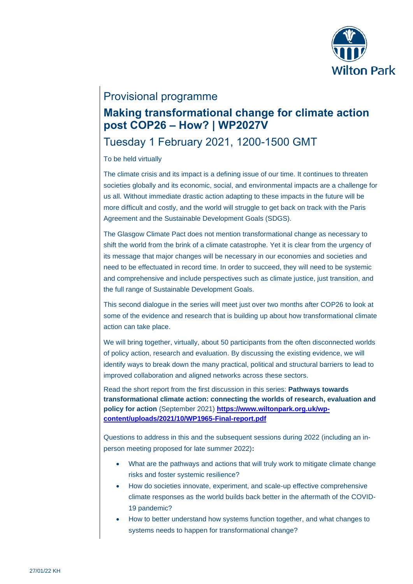

### Provisional programme

# **Making transformational change for climate action post COP26 – How? | WP2027V**

# Tuesday 1 February 2021, 1200-1500 GMT

### To be held virtually

The climate crisis and its impact is a defining issue of our time. It continues to threaten societies globally and its economic, social, and environmental impacts are a challenge for us all. Without immediate drastic action adapting to these impacts in the future will be more difficult and costly, and the world will struggle to get back on track with the Paris Agreement and the Sustainable Development Goals (SDGS).

The Glasgow Climate Pact does not mention transformational change as necessary to shift the world from the brink of a climate catastrophe. Yet it is clear from the urgency of its message that major changes will be necessary in our economies and societies and need to be effectuated in record time. In order to succeed, they will need to be systemic and comprehensive and include perspectives such as climate justice, just transition, and the full range of Sustainable Development Goals.

This second dialogue in the series will meet just over two months after COP26 to look at some of the evidence and research that is building up about how transformational climate action can take place.

We will bring together, virtually, about 50 participants from the often disconnected worlds of policy action, research and evaluation. By discussing the existing evidence, we will identify ways to break down the many practical, political and structural barriers to lead to improved collaboration and aligned networks across these sectors.

Read the short report from the first discussion in this series: **Pathways towards transformational climate action: connecting the worlds of research, evaluation and policy for action** (September 2021) **[https://www.wiltonpark.org.uk/wp](https://www.wiltonpark.org.uk/wp-content/uploads/2021/10/WP1965-Final-report.pdf)[content/uploads/2021/10/WP1965-Final-report.pdf](https://www.wiltonpark.org.uk/wp-content/uploads/2021/10/WP1965-Final-report.pdf)**

Questions to address in this and the subsequent sessions during 2022 (including an inperson meeting proposed for late summer 2022)**:**

- What are the pathways and actions that will truly work to mitigate climate change risks and foster systemic resilience?
- How do societies innovate, experiment, and scale-up effective comprehensive climate responses as the world builds back better in the aftermath of the COVID-19 pandemic?
- How to better understand how systems function together, and what changes to systems needs to happen for transformational change?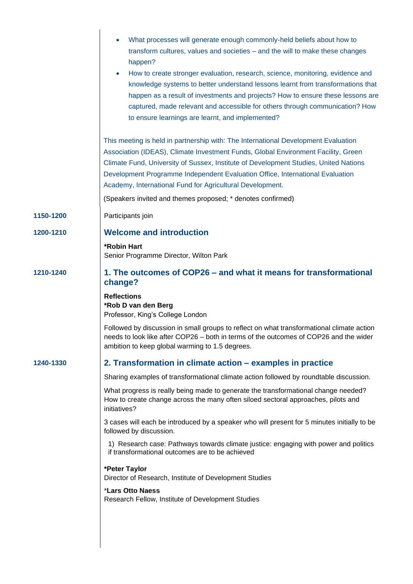|           | What processes will generate enough commonly-held beliefs about how to<br>transform cultures, values and societies - and the will to make these changes<br>happen?<br>How to create stronger evaluation, research, science, monitoring, evidence and<br>$\bullet$                                                                                                                                             |
|-----------|---------------------------------------------------------------------------------------------------------------------------------------------------------------------------------------------------------------------------------------------------------------------------------------------------------------------------------------------------------------------------------------------------------------|
|           | knowledge systems to better understand lessons learnt from transformations that<br>happen as a result of investments and projects? How to ensure these lessons are<br>captured, made relevant and accessible for others through communication? How<br>to ensure learnings are learnt, and implemented?                                                                                                        |
|           | This meeting is held in partnership with: The International Development Evaluation<br>Association (IDEAS), Climate Investment Funds, Global Environment Facility, Green<br>Climate Fund, University of Sussex, Institute of Development Studies, United Nations<br>Development Programme Independent Evaluation Office, International Evaluation<br>Academy, International Fund for Agricultural Development. |
|           | (Speakers invited and themes proposed; * denotes confirmed)                                                                                                                                                                                                                                                                                                                                                   |
| 1150-1200 | Participants join                                                                                                                                                                                                                                                                                                                                                                                             |
| 1200-1210 | <b>Welcome and introduction</b>                                                                                                                                                                                                                                                                                                                                                                               |
|           | <b>*Robin Hart</b><br>Senior Programme Director, Wilton Park                                                                                                                                                                                                                                                                                                                                                  |
| 1210-1240 | 1. The outcomes of COP26 – and what it means for transformational<br>change?                                                                                                                                                                                                                                                                                                                                  |
|           | <b>Reflections</b><br>*Rob D van den Berg<br>Professor, King's College London                                                                                                                                                                                                                                                                                                                                 |
|           | Followed by discussion in small groups to reflect on what transformational climate action<br>needs to look like after COP26 - both in terms of the outcomes of COP26 and the wider<br>ambition to keep global warming to 1.5 degrees.                                                                                                                                                                         |
| 1240-1330 | 2. Transformation in climate action – examples in practice                                                                                                                                                                                                                                                                                                                                                    |
|           | Sharing examples of transformational climate action followed by roundtable discussion.                                                                                                                                                                                                                                                                                                                        |
|           | What progress is really being made to generate the transformational change needed?<br>How to create change across the many often siloed sectoral approaches, pilots and<br>initiatives?                                                                                                                                                                                                                       |
|           | 3 cases will each be introduced by a speaker who will present for 5 minutes initially to be<br>followed by discussion.                                                                                                                                                                                                                                                                                        |
|           | 1) Research case: Pathways towards climate justice: engaging with power and politics<br>if transformational outcomes are to be achieved                                                                                                                                                                                                                                                                       |
|           | *Peter Taylor<br>Director of Research, Institute of Development Studies                                                                                                                                                                                                                                                                                                                                       |
|           | *Lars Otto Naess<br>Research Fellow, Institute of Development Studies                                                                                                                                                                                                                                                                                                                                         |
|           |                                                                                                                                                                                                                                                                                                                                                                                                               |
|           |                                                                                                                                                                                                                                                                                                                                                                                                               |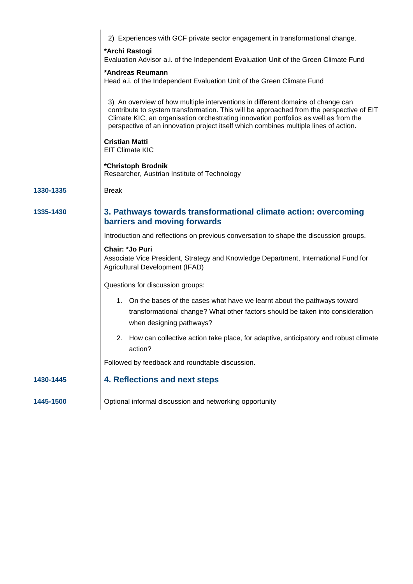|           | 2) Experiences with GCF private sector engagement in transformational change.                                                                                                                                                                                                                                                                               |
|-----------|-------------------------------------------------------------------------------------------------------------------------------------------------------------------------------------------------------------------------------------------------------------------------------------------------------------------------------------------------------------|
|           | *Archi Rastogi<br>Evaluation Advisor a.i. of the Independent Evaluation Unit of the Green Climate Fund                                                                                                                                                                                                                                                      |
|           | *Andreas Reumann<br>Head a.i. of the Independent Evaluation Unit of the Green Climate Fund                                                                                                                                                                                                                                                                  |
|           | 3) An overview of how multiple interventions in different domains of change can<br>contribute to system transformation. This will be approached from the perspective of EIT<br>Climate KIC, an organisation orchestrating innovation portfolios as well as from the<br>perspective of an innovation project itself which combines multiple lines of action. |
|           | <b>Cristian Matti</b><br><b>EIT Climate KIC</b>                                                                                                                                                                                                                                                                                                             |
|           | *Christoph Brodnik<br>Researcher, Austrian Institute of Technology                                                                                                                                                                                                                                                                                          |
| 1330-1335 | <b>Break</b>                                                                                                                                                                                                                                                                                                                                                |
| 1335-1430 | 3. Pathways towards transformational climate action: overcoming<br>barriers and moving forwards                                                                                                                                                                                                                                                             |
|           | Introduction and reflections on previous conversation to shape the discussion groups.                                                                                                                                                                                                                                                                       |
|           | Chair: *Jo Puri<br>Associate Vice President, Strategy and Knowledge Department, International Fund for<br>Agricultural Development (IFAD)                                                                                                                                                                                                                   |
|           | Questions for discussion groups:                                                                                                                                                                                                                                                                                                                            |
|           | 1. On the bases of the cases what have we learnt about the pathways toward<br>transformational change? What other factors should be taken into consideration<br>when designing pathways?                                                                                                                                                                    |
|           | How can collective action take place, for adaptive, anticipatory and robust climate<br>action?                                                                                                                                                                                                                                                              |
|           | Followed by feedback and roundtable discussion.                                                                                                                                                                                                                                                                                                             |
| 1430-1445 | 4. Reflections and next steps                                                                                                                                                                                                                                                                                                                               |
| 1445-1500 | Optional informal discussion and networking opportunity                                                                                                                                                                                                                                                                                                     |